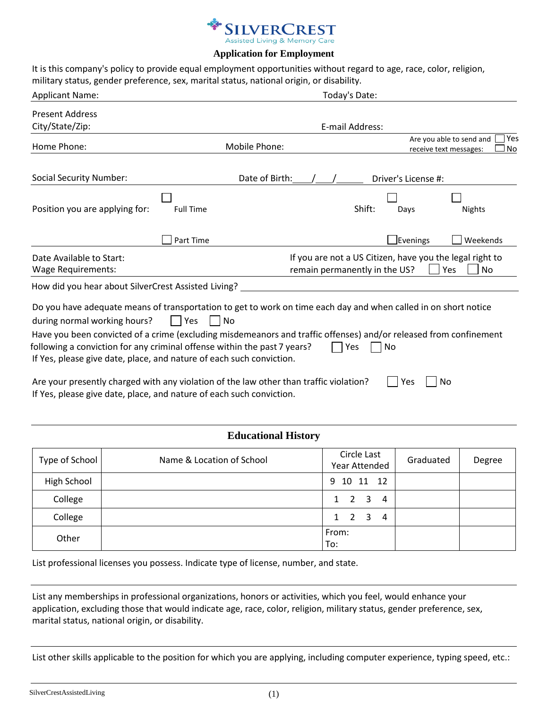

## **Application for Employment**

It is this company's policy to provide equal employment opportunities without regard to age, race, color, religion, military status, gender preference, sex, marital status, national origin, or disability.

| <b>Applicant Name:</b>                                                                                                                                                                                                                                                                                                                                                                                                   | Today's Date:    |                               |        |                     |                                                                 |
|--------------------------------------------------------------------------------------------------------------------------------------------------------------------------------------------------------------------------------------------------------------------------------------------------------------------------------------------------------------------------------------------------------------------------|------------------|-------------------------------|--------|---------------------|-----------------------------------------------------------------|
| <b>Present Address</b>                                                                                                                                                                                                                                                                                                                                                                                                   |                  |                               |        |                     |                                                                 |
| City/State/Zip:                                                                                                                                                                                                                                                                                                                                                                                                          |                  | E-mail Address:               |        |                     |                                                                 |
| Home Phone:                                                                                                                                                                                                                                                                                                                                                                                                              | Mobile Phone:    |                               |        |                     | Yes<br>Are you able to send and<br>No<br>receive text messages: |
| <b>Social Security Number:</b>                                                                                                                                                                                                                                                                                                                                                                                           | Date of Birth:   |                               |        | Driver's License #: |                                                                 |
| Position you are applying for:                                                                                                                                                                                                                                                                                                                                                                                           | <b>Full Time</b> |                               | Shift: | Days                | Nights                                                          |
|                                                                                                                                                                                                                                                                                                                                                                                                                          | Part Time        |                               |        | Evenings            | Weekends                                                        |
| Date Available to Start:                                                                                                                                                                                                                                                                                                                                                                                                 |                  |                               |        |                     | If you are not a US Citizen, have you the legal right to        |
| <b>Wage Requirements:</b>                                                                                                                                                                                                                                                                                                                                                                                                |                  | remain permanently in the US? |        |                     | Yes<br><b>No</b>                                                |
| How did you hear about SilverCrest Assisted Living?                                                                                                                                                                                                                                                                                                                                                                      |                  |                               |        |                     |                                                                 |
| Do you have adequate means of transportation to get to work on time each day and when called in on short notice<br>during normal working hours?<br>Have you been convicted of a crime (excluding misdemeanors and traffic offenses) and/or released from confinement<br>following a conviction for any criminal offense within the past 7 years?<br>If Yes, please give date, place, and nature of each such conviction. | <b>No</b><br>Yes |                               | Yes    | No                  |                                                                 |
| Are your presently charged with any violation of the law other than traffic violation?<br>If Yes, please give date, place, and nature of each such conviction.                                                                                                                                                                                                                                                           |                  |                               |        | Yes                 | No                                                              |

## **Educational History**

| Type of School | Name & Location of School | Circle Last<br>Year Attended | Graduated | Degree |
|----------------|---------------------------|------------------------------|-----------|--------|
| High School    |                           | 9 10 11 12                   |           |        |
| College        |                           | 2 3<br>$\overline{4}$<br>1   |           |        |
| College        |                           | 2 3<br>1<br>$\overline{4}$   |           |        |
| Other          |                           | From:<br>To:                 |           |        |

List professional licenses you possess. Indicate type of license, number, and state.

List any memberships in professional organizations, honors or activities, which you feel, would enhance your application, excluding those that would indicate age, race, color, religion, military status, gender preference, sex, marital status, national origin, or disability.

List other skills applicable to the position for which you are applying, including computer experience, typing speed, etc.: